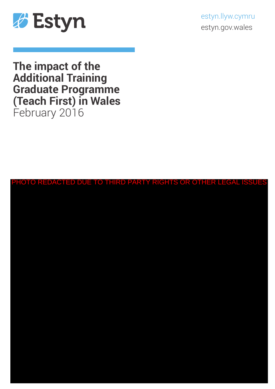

estyn.llyw.cymru estyn.gov.wales

**The impact of the Additional Training Graduate Programme (Teach First) in Wales** February 2016

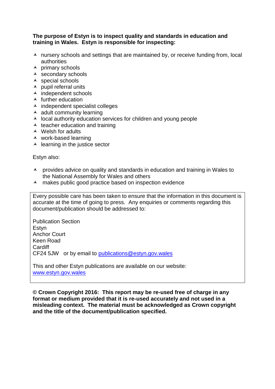#### **The purpose of Estyn is to inspect quality and standards in education and training in Wales. Estyn is responsible for inspecting:**

- $\lambda$  nursery schools and settings that are maintained by, or receive funding from, local authorities
- $\overline{\phantom{a}}$  primary schools
- $\overline{\phantom{a}}$  secondary schools
- $\triangle$  special schools
- $\lambda$  pupil referral units
- $\overline{\phantom{a}}$  independent schools
- $\blacktriangle$  further education
- $\lambda$  independent specialist colleges
- $\triangle$  adult community learning
- $\lambda$  local authority education services for children and young people
- $\triangle$  teacher education and training
- $\triangle$  Welsh for adults
- work-based learning
- $\triangle$  learning in the justice sector

Estyn also:

- A provides advice on quality and standards in education and training in Wales to the National Assembly for Wales and others
- A makes public good practice based on inspection evidence

Every possible care has been taken to ensure that the information in this document is accurate at the time of going to press. Any enquiries or comments regarding this document/publication should be addressed to:

Publication Section Estyn Anchor Court Keen Road **Cardiff** CF24 5JW or by email to [publications@estyn.gov.wales](mailto:publications@estyn.gov.wales)

This and other Estyn publications are available on our website: [www.estyn.gov.wales](http://www.estyn.gov.wales/)

**© Crown Copyright 2016: This report may be re-used free of charge in any format or medium provided that it is re-used accurately and not used in a misleading context. The material must be acknowledged as Crown copyright and the title of the document/publication specified.**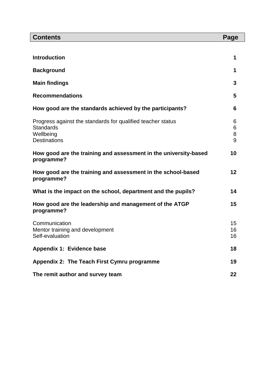| <b>Contents</b>                                                                                                     | Page             |
|---------------------------------------------------------------------------------------------------------------------|------------------|
|                                                                                                                     |                  |
| <b>Introduction</b>                                                                                                 | 1                |
| <b>Background</b>                                                                                                   | 1                |
| <b>Main findings</b>                                                                                                | 3                |
| <b>Recommendations</b>                                                                                              | 5                |
| How good are the standards achieved by the participants?                                                            | 6                |
| Progress against the standards for qualified teacher status<br><b>Standards</b><br>Wellbeing<br><b>Destinations</b> | 6<br>6<br>8<br>9 |
| How good are the training and assessment in the university-based<br>programme?                                      | 10               |
| How good are the training and assessment in the school-based<br>programme?                                          | 12               |
| What is the impact on the school, department and the pupils?                                                        | 14               |
| How good are the leadership and management of the ATGP<br>programme?                                                | 15               |
| Communication<br>Mentor training and development<br>Self-evaluation                                                 | 15<br>16<br>16   |
| Appendix 1: Evidence base                                                                                           | 18               |
| Appendix 2: The Teach First Cymru programme                                                                         | 19               |
| The remit author and survey team                                                                                    | 22               |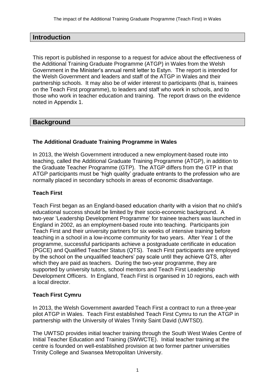# **Introduction**

This report is published in response to a request for advice about the effectiveness of the Additional Training Graduate Programme (ATGP) in Wales from the Welsh Government in the Minister's annual remit letter to Estyn. The report is intended for the Welsh Government and leaders and staff of the ATGP in Wales and their partnership schools. It may also be of wider interest to participants (that is, trainees on the Teach First programme), to leaders and staff who work in schools, and to those who work in teacher education and training. The report draws on the evidence noted in Appendix 1.

# **Background**

# **The Additional Graduate Training Programme in Wales**

In 2013, the Welsh Government introduced a new employment-based route into teaching, called the Additional Graduate Training Programme (ATGP), in addition to the Graduate Teacher Programme (GTP). The ATGP differs from the GTP in that ATGP participants must be 'high quality' graduate entrants to the profession who are normally placed in secondary schools in areas of economic disadvantage.

#### **Teach First**

Teach First began as an England-based education charity with a vision that no child's educational success should be limited by their socio-economic background. A two-year 'Leadership Development Programme' for trainee teachers was launched in England in 2002, as an employment-based route into teaching. Participants join Teach First and their university partners for six weeks of intensive training before teaching in a school in a low-income community for two years. After Year 1 of the programme, successful participants achieve a postgraduate certificate in education (PGCE) and Qualified Teacher Status (QTS). Teach First participants are employed by the school on the unqualified teachers' pay scale until they achieve QTS, after which they are paid as teachers. During the two-year programme, they are supported by university tutors, school mentors and Teach First Leadership Development Officers. In England, Teach First is organised in 10 regions, each with a local director.

#### **Teach First Cymru**

In 2013, the Welsh Government awarded Teach First a contract to run a three-year pilot ATGP in Wales. Teach First established Teach First Cymru to run the ATGP in partnership with the University of Wales Trinity Saint David (UWTSD).

The UWTSD provides initial teacher training through the South West Wales Centre of Initial Teacher Education and Training (SWWCTE). Initial teacher training at the centre is founded on well-established provision at two former partner universities Trinity College and Swansea Metropolitan University.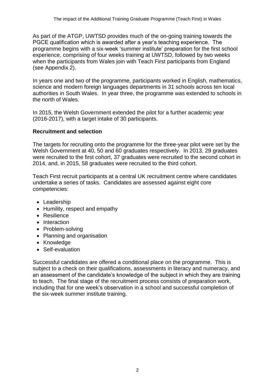As part of the ATGP, UWTSD provides much of the on-going training towards the PGCE qualification which is awarded after a year's teaching experience. The programme begins with a six-week 'summer institute' preparation for the first school experience, comprising of four weeks training at UWTSD, followed by two weeks when the participants from Wales join with Teach First participants from England (see Appendix 2).

In years one and two of the programme, participants worked in English, mathematics, science and modern foreign languages departments in 31 schools across ten local authorities in South Wales. In year three, the programme was extended to schools in the north of Wales.

In 2015, the Welsh Government extended the pilot for a further academic year (2016-2017), with a target intake of 30 participants.

# **Recruitment and selection**

The targets for recruiting onto the programme for the three-year pilot were set by the Welsh Government at 40, 50 and 60 graduates respectively. In 2013, 29 graduates were recruited to the first cohort, 37 graduates were recruited to the second cohort in 2014, and, in 2015, 58 graduates were recruited to the third cohort.

Teach First recruit participants at a central UK recruitment centre where candidates undertake a series of tasks. Candidates are assessed against eight core competencies:

- Leadership
- Humility, respect and empathy
- Resilience
- Interaction
- Problem-solving
- Planning and organisation
- Knowledge
- Self-evaluation

Successful candidates are offered a conditional place on the programme. This is subject to a check on their qualifications, assessments in literacy and numeracy, and an assessment of the candidate's knowledge of the subject in which they are training to teach. The final stage of the recruitment process consists of preparation work, including that for one week's observation in a school and successful completion of the six-week summer institute training.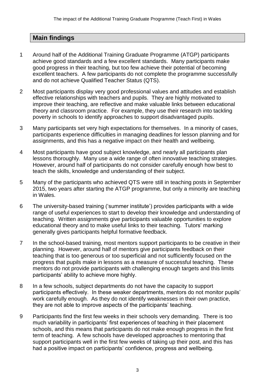# **Main findings**

- 1 Around half of the Additional Training Graduate Programme (ATGP) participants achieve good standards and a few excellent standards. Many participants make good progress in their teaching, but too few achieve their potential of becoming excellent teachers. A few participants do not complete the programme successfully and do not achieve Qualified Teacher Status (QTS).
- 2 Most participants display very good professional values and attitudes and establish effective relationships with teachers and pupils. They are highly motivated to improve their teaching, are reflective and make valuable links between educational theory and classroom practice. For example, they use their research into tackling poverty in schools to identify approaches to support disadvantaged pupils.
- 3 Many participants set very high expectations for themselves. In a minority of cases, participants experience difficulties in managing deadlines for lesson planning and for assignments, and this has a negative impact on their health and wellbeing.
- 4 Most participants have good subject knowledge, and nearly all participants plan lessons thoroughly. Many use a wide range of often innovative teaching strategies. However, around half of participants do not consider carefully enough how best to teach the skills, knowledge and understanding of their subject.
- 5 Many of the participants who achieved QTS were still in teaching posts in September 2015, two years after starting the ATGP programme, but only a minority are teaching in Wales.
- 6 The university-based training ('summer institute') provides participants with a wide range of useful experiences to start to develop their knowledge and understanding of teaching. Written assignments give participants valuable opportunities to explore educational theory and to make useful links to their teaching. Tutors' marking generally gives participants helpful formative feedback.
- 7 In the school-based training, most mentors support participants to be creative in their planning. However, around half of mentors give participants feedback on their teaching that is too generous or too superficial and not sufficiently focused on the progress that pupils make in lessons as a measure of successful teaching. These mentors do not provide participants with challenging enough targets and this limits participants' ability to achieve more highly.
- 8 In a few schools, subject departments do not have the capacity to support participants effectively. In these weaker departments, mentors do not monitor pupils' work carefully enough. As they do not identify weaknesses in their own practice, they are not able to improve aspects of the participants' teaching.
- 9 Participants find the first few weeks in their schools very demanding. There is too much variability in participants' first experiences of teaching in their placement schools, and this means that participants do not make enough progress in the first term of teaching. A few schools have developed approaches to mentoring that support participants well in the first few weeks of taking up their post, and this has had a positive impact on participants' confidence, progress and wellbeing.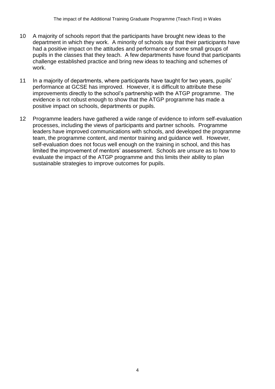- 10 A majority of schools report that the participants have brought new ideas to the department in which they work. A minority of schools say that their participants have had a positive impact on the attitudes and performance of some small groups of pupils in the classes that they teach. A few departments have found that participants challenge established practice and bring new ideas to teaching and schemes of work.
- 11 In a majority of departments, where participants have taught for two years, pupils' performance at GCSE has improved. However, it is difficult to attribute these improvements directly to the school's partnership with the ATGP programme. The evidence is not robust enough to show that the ATGP programme has made a positive impact on schools, departments or pupils.
- 12 Programme leaders have gathered a wide range of evidence to inform self-evaluation processes, including the views of participants and partner schools. Programme leaders have improved communications with schools, and developed the programme team, the programme content, and mentor training and guidance well. However, self-evaluation does not focus well enough on the training in school, and this has limited the improvement of mentors' assessment. Schools are unsure as to how to evaluate the impact of the ATGP programme and this limits their ability to plan sustainable strategies to improve outcomes for pupils.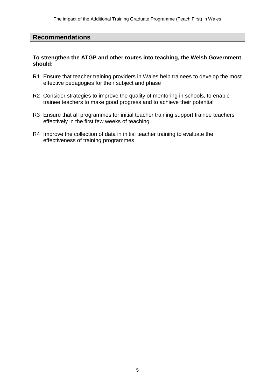### **Recommendations**

#### **To strengthen the ATGP and other routes into teaching, the Welsh Government should:**

- R1 Ensure that teacher training providers in Wales help trainees to develop the most effective pedagogies for their subject and phase
- R2 Consider strategies to improve the quality of mentoring in schools, to enable trainee teachers to make good progress and to achieve their potential
- R3 Ensure that all programmes for initial teacher training support trainee teachers effectively in the first few weeks of teaching
- R4 Improve the collection of data in initial teacher training to evaluate the effectiveness of training programmes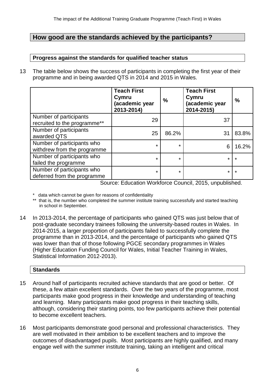# **How good are the standards achieved by the participants?**

### **Progress against the standards for qualified teacher status**

13 The table below shows the success of participants in completing the first year of their programme and in being awarded QTS in 2014 and 2015 in Wales.

|                                                           | <b>Teach First</b><br>Cymru<br>(academic year<br>2013-2014) | $\frac{0}{0}$ | <b>Teach First</b><br>Cymru<br>(academic year<br>2014-2015) | $\frac{0}{0}$ |
|-----------------------------------------------------------|-------------------------------------------------------------|---------------|-------------------------------------------------------------|---------------|
| Number of participants<br>recruited to the programme**    | 29                                                          |               | 37                                                          |               |
| Number of participants<br>awarded QTS                     | 25                                                          | 86.2%         | 31                                                          | 83.8%         |
| Number of participants who<br>withdrew from the programme | $\star$                                                     | $\star$       | 6                                                           | 16.2%         |
| Number of participants who<br>failed the programme        | $\star$                                                     | *             | $\star$                                                     | $\star$       |
| Number of participants who<br>deferred from the programme | $\star$                                                     | $\star$       | $\star$                                                     | $\star$       |

Source: Education Workforce Council, 2015, unpublished.

- \* data which cannot be given for reasons of confidentiality
- \*\* that is, the number who completed the summer institute training successfully and started teaching in school in September.
- 14 In 2013-2014, the percentage of participants who gained QTS was just below that of post-graduate secondary trainees following the university-based routes in Wales. In 2014-2015, a larger proportion of participants failed to successfully complete the programme than in 2013-2014, and the percentage of participants who gained QTS was lower than that of those following PGCE secondary programmes in Wales (Higher Education Funding Council for Wales, Initial Teacher Training in Wales, Statistical Information 2012-2013).

#### **Standards**

- 15 Around half of participants recruited achieve standards that are good or better. Of these, a few attain excellent standards. Over the two years of the programme, most participants make good progress in their knowledge and understanding of teaching and learning. Many participants make good progress in their teaching skills, although, considering their starting points, too few participants achieve their potential to become excellent teachers.
- 16 Most participants demonstrate good personal and professional characteristics. They are well motivated in their ambition to be excellent teachers and to improve the outcomes of disadvantaged pupils. Most participants are highly qualified, and many engage well with the summer institute training, taking an intelligent and critical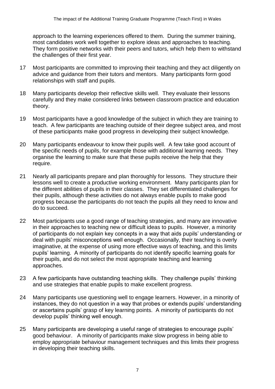approach to the learning experiences offered to them. During the summer training, most candidates work well together to explore ideas and approaches to teaching. They form positive networks with their peers and tutors, which help them to withstand the challenges of their first year.

- 17 Most participants are committed to improving their teaching and they act diligently on advice and guidance from their tutors and mentors. Many participants form good relationships with staff and pupils.
- 18 Many participants develop their reflective skills well. They evaluate their lessons carefully and they make considered links between classroom practice and education theory.
- 19 Most participants have a good knowledge of the subject in which they are training to teach. A few participants are teaching outside of their degree subject area, and most of these participants make good progress in developing their subject knowledge.
- 20 Many participants endeavour to know their pupils well. A few take good account of the specific needs of pupils, for example those with additional learning needs. They organise the learning to make sure that these pupils receive the help that they require.
- 21 Nearly all participants prepare and plan thoroughly for lessons. They structure their lessons well to create a productive working environment. Many participants plan for the different abilities of pupils in their classes. They set differentiated challenges for their pupils, although these activities do not always enable pupils to make good progress because the participants do not teach the pupils all they need to know and do to succeed.
- 22 Most participants use a good range of teaching strategies, and many are innovative in their approaches to teaching new or difficult ideas to pupils. However, a minority of participants do not explain key concepts in a way that aids pupils' understanding or deal with pupils' misconceptions well enough. Occasionally, their teaching is overly imaginative, at the expense of using more effective ways of teaching, and this limits pupils' learning. A minority of participants do not identify specific learning goals for their pupils, and do not select the most appropriate teaching and learning approaches.
- 23 A few participants have outstanding teaching skills. They challenge pupils' thinking and use strategies that enable pupils to make excellent progress.
- 24 Many participants use questioning well to engage learners. However, in a minority of instances, they do not question in a way that probes or extends pupils' understanding or ascertains pupils' grasp of key learning points. A minority of participants do not develop pupils' thinking well enough.
- 25 Many participants are developing a useful range of strategies to encourage pupils' good behaviour. A minority of participants make slow progress in being able to employ appropriate behaviour management techniques and this limits their progress in developing their teaching skills.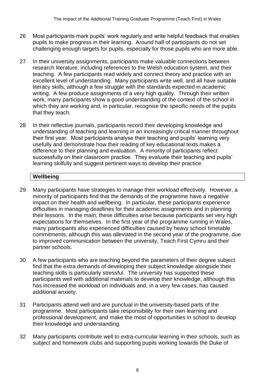- 26 Most participants mark pupils' work regularly and write helpful feedback that enables pupils to make progress in their learning. Around half of participants do not set challenging enough targets for pupils, especially for those pupils who are more able.
- 27 In their university assignments, participants make valuable connections between research literature, including references to the Welsh education system, and their teaching. A few participants read widely and connect theory and practice with an excellent level of understanding. Many participants write well, and all have suitable literacy skills, although a few struggle with the standards expected in academic writing. A few produce assignments of a very high quality. Through their written work, many participants show a good understanding of the context of the school in which they are working and, in particular, recognise the specific needs of the pupils that they teach.
- 28 In their reflective journals, participants record their developing knowledge and understanding of teaching and learning in an increasingly critical manner throughout their first year. Most participants analyse their teaching and pupils' learning very usefully and demonstrate how their reading of key educational texts makes a difference to their planning and evaluation. A minority of participants reflect successfully on their classroom practice. They evaluate their teaching and pupils' learning skilfully and suggest pertinent ways to develop their practice.

# **Wellbeing**

- 29 Many participants have strategies to manage their workload effectively. However, a minority of participants find that the demands of the programme have a negative impact on their health and wellbeing. In particular, these participants experience difficulties in managing deadlines for their academic assignments and in planning their lessons. In the main, these difficulties arise because participants set very high expectations for themselves. In the first year of the programme running in Wales, many participants also experienced difficulties caused by heavy school timetable commitments, although this was alleviated in the second year of the programme, due to improved communication between the university, Teach First Cymru and their partner schools.
- 30 A few participants who are teaching beyond the parameters of their degree subject find that the extra demands of developing their subject knowledge alongside their teaching skills is particularly stressful. The university has supported these participants well with additional materials to develop their knowledge, although this has increased the workload on individuals and, in a very few cases, has caused additional anxiety.
- 31 Participants attend well and are punctual in the university-based parts of the programme. Most participants take responsibility for their own learning and professional development, and make the most of opportunities in school to develop their knowledge and understanding.
- 32 Many participants contribute well to extra-curricular learning in their schools, such as subject and homework clubs and supporting pupils working towards the Duke of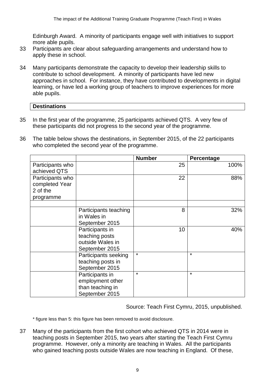Edinburgh Award. A minority of participants engage well with initiatives to support more able pupils.

- 33 Participants are clear about safeguarding arrangements and understand how to apply these in school.
- 34 Many participants demonstrate the capacity to develop their leadership skills to contribute to school development. A minority of participants have led new approaches in school. For instance, they have contributed to developments in digital learning, or have led a working group of teachers to improve experiences for more able pupils.

#### **Destinations**

- 35 In the first year of the programme, 25 participants achieved QTS. A very few of these participants did not progress to the second year of the programme.
- 36 The table below shows the destinations, in September 2015, of the 22 participants who completed the second year of the programme.

|                  |                       | <b>Number</b> | Percentage |
|------------------|-----------------------|---------------|------------|
| Participants who |                       | 25            | 100%       |
| achieved QTS     |                       |               |            |
| Participants who |                       | 22            | 88%        |
| completed Year   |                       |               |            |
| 2 of the         |                       |               |            |
| programme        |                       |               |            |
|                  |                       |               |            |
|                  | Participants teaching | 8             | 32%        |
|                  | in Wales in           |               |            |
|                  | September 2015        |               |            |
|                  | Participants in       | 10            | 40%        |
|                  | teaching posts        |               |            |
|                  | outside Wales in      |               |            |
|                  | September 2015        |               |            |
|                  | Participants seeking  | $\star$       | $\star$    |
|                  | teaching posts in     |               |            |
|                  | September 2015        |               |            |
|                  | Participants in       | $\star$       | $\star$    |
|                  | employment other      |               |            |
|                  | than teaching in      |               |            |
|                  | September 2015        |               |            |

Source: Teach First Cymru, 2015, unpublished.

\* figure less than 5: this figure has been removed to avoid disclosure.

37 Many of the participants from the first cohort who achieved QTS in 2014 were in teaching posts in September 2015, two years after starting the Teach First Cymru programme. However, only a minority are teaching in Wales. All the participants who gained teaching posts outside Wales are now teaching in England. Of these,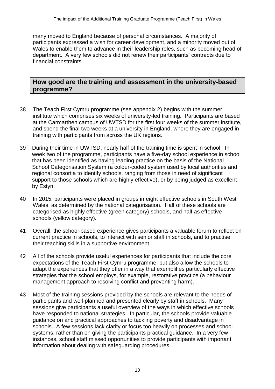many moved to England because of personal circumstances. A majority of participants expressed a wish for career development, and a minority moved out of Wales to enable them to advance in their leadership roles, such as becoming head of department. A very few schools did not renew their participants' contracts due to financial constraints.

# **How good are the training and assessment in the university-based programme?**

- 38 The Teach First Cymru programme (see appendix 2) begins with the summer institute which comprises six weeks of university-led training. Participants are based at the Carmarthen campus of UWTSD for the first four weeks of the summer institute, and spend the final two weeks at a university in England, where they are engaged in training with participants from across the UK regions.
- 39 During their time in UWTSD, nearly half of the training time is spent in school. In week two of the programme, participants have a five-day school experience in school that has been identified as having leading practice on the basis of the National School Categorisation System (a colour-coded system used by local authorities and regional consortia to identify schools, ranging from those in need of significant support to those schools which are highly effective), or by being judged as excellent by Estyn.
- 40 In 2015, participants were placed in groups in eight effective schools in South West Wales, as determined by the national categorisation. Half of these schools are categorised as highly effective (green category) schools, and half as effective schools (yellow category).
- 41 Overall, the school-based experience gives participants a valuable forum to reflect on current practice in schools, to interact with senior staff in schools, and to practise their teaching skills in a supportive environment.
- 42 All of the schools provide useful experiences for participants that include the core expectations of the Teach First Cymru programme, but also allow the schools to adapt the experiences that they offer in a way that exemplifies particularly effective strategies that the school employs, for example, restorative practice (a behaviour management approach to resolving conflict and preventing harm).
- 43 Most of the training sessions provided by the schools are relevant to the needs of participants and well-planned and presented clearly by staff in schools. Many sessions give participants a useful overview of the ways in which effective schools have responded to national strategies. In particular, the schools provide valuable guidance on and practical approaches to tackling poverty and disadvantage in schools. A few sessions lack clarity or focus too heavily on processes and school systems, rather than on giving the participants practical guidance. In a very few instances, school staff missed opportunities to provide participants with important information about dealing with safeguarding procedures.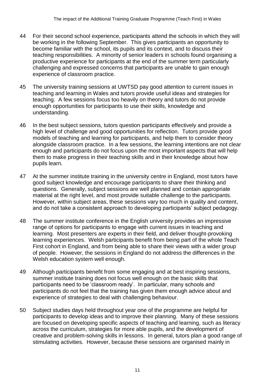- 44 For their second school experience, participants attend the schools in which they will be working in the following September. This gives participants an opportunity to become familiar with the school, its pupils and its context, and to discuss their teaching responsibilities. A minority of senior leaders in schools found organising a productive experience for participants at the end of the summer term particularly challenging and expressed concerns that participants are unable to gain enough experience of classroom practice.
- 45 The university training sessions at UWTSD pay good attention to current issues in teaching and learning in Wales and tutors provide useful ideas and strategies for teaching. A few sessions focus too heavily on theory and tutors do not provide enough opportunities for participants to use their skills, knowledge and understanding.
- 46 In the best subject sessions, tutors question participants effectively and provide a high level of challenge and good opportunities for reflection. Tutors provide good models of teaching and learning for participants, and help them to consider theory alongside classroom practice. In a few sessions, the learning intentions are not clear enough and participants do not focus upon the most important aspects that will help them to make progress in their teaching skills and in their knowledge about how pupils learn.
- 47 At the summer institute training in the university centre in England, most tutors have good subject knowledge and encourage participants to share their thinking and questions. Generally, subject sessions are well planned and contain appropriate material at the right level, and most provide suitable challenge to the participants. However, within subject areas, these sessions vary too much in quality and content, and do not take a consistent approach to developing participants' subject pedagogy.
- 48 The summer institute conference in the English university provides an impressive range of options for participants to engage with current issues in teaching and learning. Most presenters are experts in their field, and deliver thought-provoking learning experiences. Welsh participants benefit from being part of the whole Teach First cohort in England, and from being able to share their views with a wider group of people. However, the sessions in England do not address the differences in the Welsh education system well enough.
- 49 Although participants benefit from some engaging and at best inspiring sessions, summer institute training does not focus well enough on the basic skills that participants need to be 'classroom ready'. In particular, many schools and participants do not feel that the training has given them enough advice about and experience of strategies to deal with challenging behaviour.
- 50 Subject studies days held throughout year one of the programme are helpful for participants to develop ideas and to improve their planning. Many of these sessions are focused on developing specific aspects of teaching and learning, such as literacy across the curriculum, strategies for more able pupils, and the development of creative and problem-solving skills in lessons. In general, tutors plan a good range of stimulating activities. However, because these sessions are organised mainly in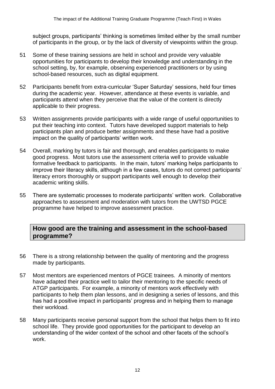subject groups, participants' thinking is sometimes limited either by the small number of participants in the group, or by the lack of diversity of viewpoints within the group.

- 51 Some of these training sessions are held in school and provide very valuable opportunities for participants to develop their knowledge and understanding in the school setting, by, for example, observing experienced practitioners or by using school-based resources, such as digital equipment.
- 52 Participants benefit from extra-curricular 'Super Saturday' sessions, held four times during the academic year. However, attendance at these events is variable, and participants attend when they perceive that the value of the content is directly applicable to their progress.
- 53 Written assignments provide participants with a wide range of useful opportunities to put their teaching into context. Tutors have developed support materials to help participants plan and produce better assignments and these have had a positive impact on the quality of participants' written work.
- 54 Overall, marking by tutors is fair and thorough, and enables participants to make good progress. Most tutors use the assessment criteria well to provide valuable formative feedback to participants. In the main, tutors' marking helps participants to improve their literacy skills, although in a few cases, tutors do not correct participants' literacy errors thoroughly or support participants well enough to develop their academic writing skills.
- 55 There are systematic processes to moderate participants' written work. Collaborative approaches to assessment and moderation with tutors from the UWTSD PGCE programme have helped to improve assessment practice.

# **How good are the training and assessment in the school-based programme?**

- 56 There is a strong relationship between the quality of mentoring and the progress made by participants.
- 57 Most mentors are experienced mentors of PGCE trainees. A minority of mentors have adapted their practice well to tailor their mentoring to the specific needs of ATGP participants. For example, a minority of mentors work effectively with participants to help them plan lessons, and in designing a series of lessons, and this has had a positive impact in participants' progress and in helping them to manage their workload.
- 58 Many participants receive personal support from the school that helps them to fit into school life. They provide good opportunities for the participant to develop an understanding of the wider context of the school and other facets of the school's work.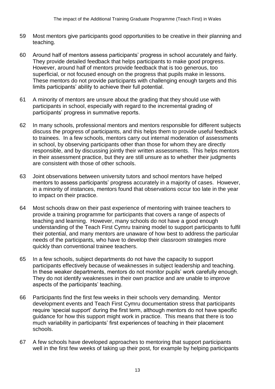- 59 Most mentors give participants good opportunities to be creative in their planning and teaching.
- 60 Around half of mentors assess participants' progress in school accurately and fairly. They provide detailed feedback that helps participants to make good progress. However, around half of mentors provide feedback that is too generous, too superficial, or not focused enough on the progress that pupils make in lessons. These mentors do not provide participants with challenging enough targets and this limits participants' ability to achieve their full potential.
- 61 A minority of mentors are unsure about the grading that they should use with participants in school, especially with regard to the incremental grading of participants' progress in summative reports.
- 62 In many schools, professional mentors and mentors responsible for different subjects discuss the progress of participants, and this helps them to provide useful feedback to trainees. In a few schools, mentors carry out internal moderation of assessments in school, by observing participants other than those for whom they are directly responsible, and by discussing jointly their written assessments. This helps mentors in their assessment practice, but they are still unsure as to whether their judgments are consistent with those of other schools.
- 63 Joint observations between university tutors and school mentors have helped mentors to assess participants' progress accurately in a majority of cases. However, in a minority of instances, mentors found that observations occur too late in the year to impact on their practice.
- 64 Most schools draw on their past experience of mentoring with trainee teachers to provide a training programme for participants that covers a range of aspects of teaching and learning. However, many schools do not have a good enough understanding of the Teach First Cymru training model to support participants to fulfil their potential, and many mentors are unaware of how best to address the particular needs of the participants, who have to develop their classroom strategies more quickly than conventional trainee teachers.
- 65 In a few schools, subject departments do not have the capacity to support participants effectively because of weaknesses in subject leadership and teaching. In these weaker departments, mentors do not monitor pupils' work carefully enough. They do not identify weaknesses in their own practice and are unable to improve aspects of the participants' teaching.
- 66 Participants find the first few weeks in their schools very demanding. Mentor development events and Teach First Cymru documentation stress that participants require 'special support' during the first term, although mentors do not have specific guidance for how this support might work in practice. This means that there is too much variability in participants' first experiences of teaching in their placement schools.
- 67 A few schools have developed approaches to mentoring that support participants well in the first few weeks of taking up their post, for example by helping participants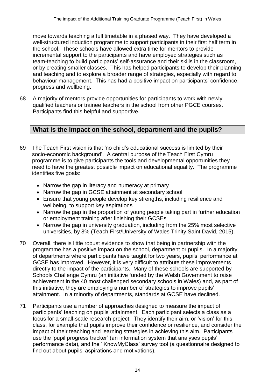move towards teaching a full timetable in a phased way. They have developed a well-structured induction programme to support participants in their first half term in the school. These schools have allowed extra time for mentors to provide incremental support to the participants and have employed strategies such as team-teaching to build participants' self-assurance and their skills in the classroom, or by creating smaller classes. This has helped participants to develop their planning and teaching and to explore a broader range of strategies, especially with regard to behaviour management. This has had a positive impact on participants' confidence, progress and wellbeing.

68 A majority of mentors provide opportunities for participants to work with newly qualified teachers or trainee teachers in the school from other PGCE courses. Participants find this helpful and supportive.

# **What is the impact on the school, department and the pupils?**

- 69 The Teach First vision is that 'no child's educational success is limited by their socio-economic background'. A central purpose of the Teach First Cymru programme is to give participants the tools and developmental opportunities they need to have the greatest possible impact on educational equality. The programme identifies five goals:
	- Narrow the gap in literacy and numeracy at primary
	- Narrow the gap in GCSE attainment at secondary school
	- Ensure that young people develop key strengths, including resilience and wellbeing, to support key aspirations
	- Narrow the gap in the proportion of young people taking part in further education or employment training after finishing their GCSEs
	- Narrow the gap in university graduation, including from the 25% most selective universities, by 8% (Teach First/University of Wales Trinity Saint David, 2015).
- 70 Overall, there is little robust evidence to show that being in partnership with the programme has a positive impact on the school, department or pupils. In a majority of departments where participants have taught for two years, pupils' performance at GCSE has improved. However, it is very difficult to attribute these improvements directly to the impact of the participants. Many of these schools are supported by Schools Challenge Cymru (an initiative funded by the Welsh Government to raise achievement in the 40 most challenged secondary schools in Wales) and, as part of this initiative, they are employing a number of strategies to improve pupils' attainment. In a minority of departments, standards at GCSE have declined.
- 71 Participants use a number of approaches designed to measure the impact of participants' teaching on pupils' attainment. Each participant selects a class as a focus for a small-scale research project. They identify their aim, or 'vision' for this class, for example that pupils improve their confidence or resilience, and consider the impact of their teaching and learning strategies in achieving this aim. Participants use the 'pupil progress tracker' (an information system that analyses pupils' performance data), and the 'iKnowMyClass' survey tool (a questionnaire designed to find out about pupils' aspirations and motivations).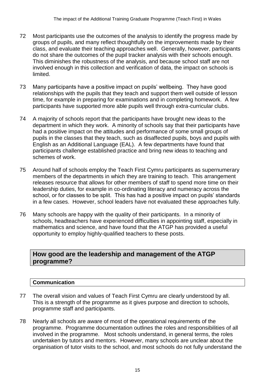- 72 Most participants use the outcomes of the analysis to identify the progress made by groups of pupils, and many reflect thoughtfully on the improvements made by their class, and evaluate their teaching approaches well. Generally, however, participants do not share the outcomes of the pupil tracker analysis with their schools enough. This diminishes the robustness of the analysis, and because school staff are not involved enough in this collection and verification of data, the impact on schools is limited.
- 73 Many participants have a positive impact on pupils' wellbeing. They have good relationships with the pupils that they teach and support them well outside of lesson time, for example in preparing for examinations and in completing homework. A few participants have supported more able pupils well through extra-curricular clubs.
- 74 A majority of schools report that the participants have brought new ideas to the department in which they work. A minority of schools say that their participants have had a positive impact on the attitudes and performance of some small groups of pupils in the classes that they teach, such as disaffected pupils, boys and pupils with English as an Additional Language (EAL). A few departments have found that participants challenge established practice and bring new ideas to teaching and schemes of work.
- 75 Around half of schools employ the Teach First Cymru participants as supernumerary members of the departments in which they are training to teach. This arrangement releases resource that allows for other members of staff to spend more time on their leadership duties, for example in co-ordinating literacy and numeracy across the school, or for classes to be split. This has had a positive impact on pupils' standards in a few cases. However, school leaders have not evaluated these approaches fully.
- 76 Many schools are happy with the quality of their participants. In a minority of schools, headteachers have experienced difficulties in appointing staff, especially in mathematics and science, and have found that the ATGP has provided a useful opportunity to employ highly-qualified teachers to these posts.

# **How good are the leadership and management of the ATGP programme?**

# **Communication**

- 77 The overall vision and values of Teach First Cymru are clearly understood by all. This is a strength of the programme as it gives purpose and direction to schools, programme staff and participants.
- 78 Nearly all schools are aware of most of the operational requirements of the programme. Programme documentation outlines the roles and responsibilities of all involved in the programme. Most schools understand, in general terms, the roles undertaken by tutors and mentors. However, many schools are unclear about the organisation of tutor visits to the school, and most schools do not fully understand the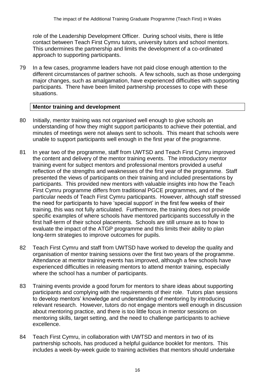role of the Leadership Development Officer. During school visits, there is little contact between Teach First Cymru tutors, university tutors and school mentors. This undermines the partnership and limits the development of a co-ordinated approach to supporting participants.

79 In a few cases, programme leaders have not paid close enough attention to the different circumstances of partner schools. A few schools, such as those undergoing major changes, such as amalgamation, have experienced difficulties with supporting participants. There have been limited partnership processes to cope with these situations.

### **Mentor training and development**

- 80 Initially, mentor training was not organised well enough to give schools an understanding of how they might support participants to achieve their potential, and minutes of meetings were not always sent to schools. This meant that schools were unable to support participants well enough in the first year of the programme.
- 81 In year two of the programme, staff from UWTSD and Teach First Cymru improved the content and delivery of the mentor training events. The introductory mentor training event for subject mentors and professional mentors provided a useful reflection of the strengths and weaknesses of the first year of the programme. Staff presented the views of participants on their training and included presentations by participants. This provided new mentors with valuable insights into how the Teach First Cymru programme differs from traditional PGCE programmes, and of the particular needs of Teach First Cymru participants. However, although staff stressed the need for participants to have 'special support' in the first few weeks of their training, this was not fully articulated. Furthermore, the training does not provide specific examples of where schools have mentored participants successfully in the first half-term of their school placements. Schools are still unsure as to how to evaluate the impact of the ATGP programme and this limits their ability to plan long-term strategies to improve outcomes for pupils.
- 82 Teach First Cymru and staff from UWTSD have worked to develop the quality and organisation of mentor training sessions over the first two years of the programme. Attendance at mentor training events has improved, although a few schools have experienced difficulties in releasing mentors to attend mentor training, especially where the school has a number of participants.
- 83 Training events provide a good forum for mentors to share ideas about supporting participants and complying with the requirements of their role. Tutors plan sessions to develop mentors' knowledge and understanding of mentoring by introducing relevant research. However, tutors do not engage mentors well enough in discussion about mentoring practice, and there is too little focus in mentor sessions on mentoring skills, target setting, and the need to challenge participants to achieve excellence.
- 84 Teach First Cymru, in collaboration with UWTSD and mentors in two of its partnership schools, has produced a helpful guidance booklet for mentors. This includes a week-by-week guide to training activities that mentors should undertake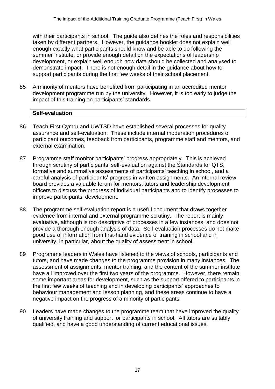with their participants in school. The guide also defines the roles and responsibilities taken by different partners. However, the guidance booklet does not explain well enough exactly what participants should know and be able to do following the summer institute, or provide enough detail on the expectations of leadership development, or explain well enough how data should be collected and analysed to demonstrate impact. There is not enough detail in the guidance about how to support participants during the first few weeks of their school placement.

85 A minority of mentors have benefited from participating in an accredited mentor development programme run by the university. However, it is too early to judge the impact of this training on participants' standards.

# **Self-evaluation**

- 86 Teach First Cymru and UWTSD have established several processes for quality assurance and self-evaluation. These include internal moderation procedures of participant outcomes, feedback from participants, programme staff and mentors, and external examination.
- 87 Programme staff monitor participants' progress appropriately. This is achieved through scrutiny of participants' self-evaluation against the Standards for QTS, formative and summative assessments of participants' teaching in school, and a careful analysis of participants' progress in written assignments. An internal review board provides a valuable forum for mentors, tutors and leadership development officers to discuss the progress of individual participants and to identify processes to improve participants' development.
- 88 The programme self-evaluation report is a useful document that draws together evidence from internal and external programme scrutiny. The report is mainly evaluative, although is too descriptive of processes in a few instances, and does not provide a thorough enough analysis of data. Self-evaluation processes do not make good use of information from first-hand evidence of training in school and in university, in particular, about the quality of assessment in school.
- 89 Programme leaders in Wales have listened to the views of schools, participants and tutors, and have made changes to the programme provision in many instances. The assessment of assignments, mentor training, and the content of the summer institute have all improved over the first two years of the programme. However, there remain some important areas for development, such as the support offered to participants in the first few weeks of teaching and in developing participants' approaches to behaviour management and lesson planning, and these areas continue to have a negative impact on the progress of a minority of participants.
- 90 Leaders have made changes to the programme team that have improved the quality of university training and support for participants in school. All tutors are suitably qualified, and have a good understanding of current educational issues.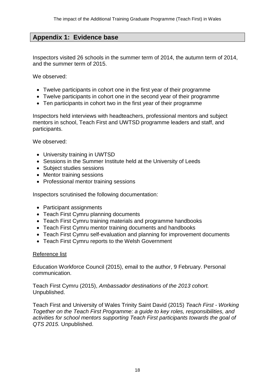# **Appendix 1: Evidence base**

Inspectors visited 26 schools in the summer term of 2014, the autumn term of 2014, and the summer term of 2015.

We observed:

- Twelve participants in cohort one in the first year of their programme
- Twelve participants in cohort one in the second year of their programme
- Ten participants in cohort two in the first year of their programme

Inspectors held interviews with headteachers, professional mentors and subject mentors in school, Teach First and UWTSD programme leaders and staff, and participants.

We observed:

- University training in UWTSD
- Sessions in the Summer Institute held at the University of Leeds
- Subject studies sessions
- Mentor training sessions
- Professional mentor training sessions

Inspectors scrutinised the following documentation:

- Participant assignments
- Teach First Cymru planning documents
- Teach First Cymru training materials and programme handbooks
- Teach First Cymru mentor training documents and handbooks
- Teach First Cymru self-evaluation and planning for improvement documents
- Teach First Cymru reports to the Welsh Government

#### Reference list

Education Workforce Council (2015), email to the author, 9 February. Personal communication.

Teach First Cymru (2015), *Ambassador destinations of the 2013 cohort.*  Unpublished.

Teach First and University of Wales Trinity Saint David (2015) *Teach First - Working Together on the Teach First Programme: a guide to key roles, responsibilities, and activities for school mentors supporting Teach First participants towards the goal of QTS 2015.* Unpublished.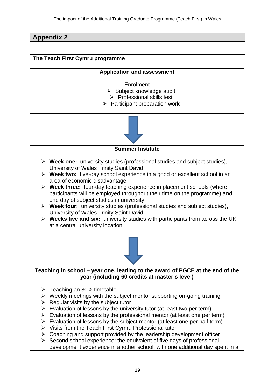# **Appendix 2**

### **The Teach First Cymru programme**

### **Application and assessment**

- Enrolment  $\triangleright$  Subject knowledge audit
- $\triangleright$  Professional skills test
- $\triangleright$  Participant preparation work



#### **Summer Institute**

- **Week one:** university studies (professional studies and subject studies), University of Wales Trinity Saint David
- **Week two:** five-day school experience in a good or excellent school in an area of economic disadvantage
- **Week three:** four-day teaching experience in placement schools (where participants will be employed throughout their time on the programme) and one day of subject studies in university
- **Week four:** university studies (professional studies and subject studies), University of Wales Trinity Saint David
- **Weeks five and six:** university studies with participants from across the UK at a central university location



**Teaching in school – year one, leading to the award of PGCE at the end of the year (including 60 credits at master's level)**

- $\triangleright$  Teaching an 80% timetable
- $\triangleright$  Weekly meetings with the subject mentor supporting on-going training
- $\triangleright$  Regular visits by the subject tutor
- $\triangleright$  Evaluation of lessons by the university tutor (at least two per term)
- $\triangleright$  Evaluation of lessons by the professional mentor (at least one per term)
- $\triangleright$  Evaluation of lessons by the subject mentor (at least one per half term)
- $\triangleright$  Visits from the Teach First Cymru Professional tutor
- $\triangleright$  Coaching and support provided by the leadership development officer
- $\triangleright$  Second school experience: the equivalent of five days of professional development experience in another school, with one additional day spent in a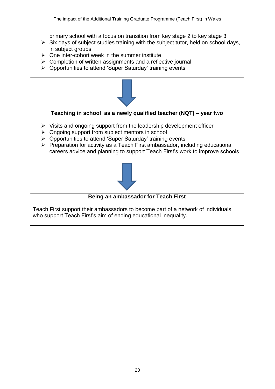- primary school with a focus on transition from key stage 2 to key stage 3
- $\triangleright$  Six days of subject studies training with the subject tutor, held on school days, in subject groups
- $\triangleright$  One inter-cohort week in the summer institute
- $\triangleright$  Completion of written assignments and a reflective journal
- $\triangleright$  Opportunities to attend 'Super Saturday' training events



# **Teaching in school as a newly qualified teacher (NQT) – year two**

- $\triangleright$  Visits and ongoing support from the leadership development officer
- > Ongoing support from subject mentors in school
- $\triangleright$  Opportunities to attend 'Super Saturday' training events
- $\triangleright$  Preparation for activity as a Teach First ambassador, including educational careers advice and planning to support Teach First's work to improve schools



### **Being an ambassador for Teach First**

Teach First support their ambassadors to become part of a network of individuals who support Teach First's aim of ending educational inequality.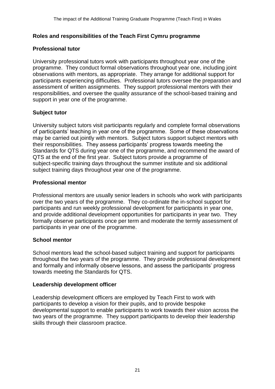### **Roles and responsibilities of the Teach First Cymru programme**

#### **Professional tutor**

University professional tutors work with participants throughout year one of the programme. They conduct formal observations throughout year one, including joint observations with mentors, as appropriate. They arrange for additional support for participants experiencing difficulties. Professional tutors oversee the preparation and assessment of written assignments. They support professional mentors with their responsibilities, and oversee the quality assurance of the school-based training and support in year one of the programme.

### **Subject tutor**

University subject tutors visit participants regularly and complete formal observations of participants' teaching in year one of the programme. Some of these observations may be carried out jointly with mentors. Subject tutors support subject mentors with their responsibilities. They assess participants' progress towards meeting the Standards for QTS during year one of the programme, and recommend the award of QTS at the end of the first year. Subject tutors provide a programme of subject-specific training days throughout the summer institute and six additional subject training days throughout year one of the programme.

#### **Professional mentor**

Professional mentors are usually senior leaders in schools who work with participants over the two years of the programme. They co-ordinate the in-school support for participants and run weekly professional development for participants in year one, and provide additional development opportunities for participants in year two. They formally observe participants once per term and moderate the termly assessment of participants in year one of the programme.

#### **School mentor**

School mentors lead the school-based subject training and support for participants throughout the two years of the programme. They provide professional development and formally and informally observe lessons, and assess the participants' progress towards meeting the Standards for QTS.

#### **Leadership development officer**

Leadership development officers are employed by Teach First to work with participants to develop a vision for their pupils, and to provide bespoke developmental support to enable participants to work towards their vision across the two years of the programme. They support participants to develop their leadership skills through their classroom practice.